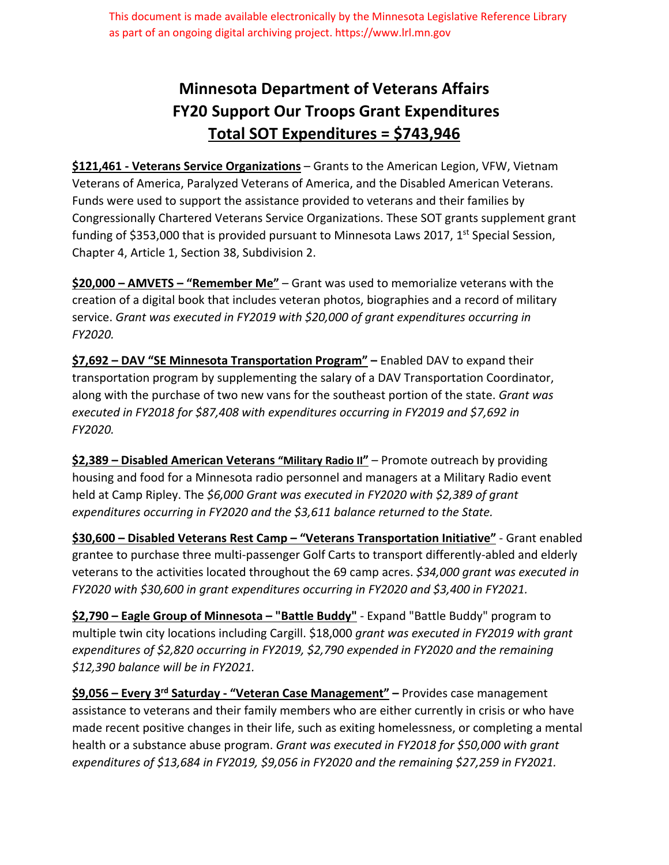This document is made available electronically by the Minnesota Legislative Reference Library as part of an ongoing digital archiving project. https://www.lrl.mn.gov

## **Minnesota Department of Veterans Affairs FY20 Support Our Troops Grant Expenditures Total SOT Expenditures = \$743,946**

**\$121,461 ‐ Veterans Service Organizations** – Grants to the American Legion, VFW, Vietnam Veterans of America, Paralyzed Veterans of America, and the Disabled American Veterans. Funds were used to support the assistance provided to veterans and their families by Congressionally Chartered Veterans Service Organizations. These SOT grants supplement grant funding of \$353,000 that is provided pursuant to Minnesota Laws 2017,  $1^{st}$  Special Session, Chapter 4, Article 1, Section 38, Subdivision 2.

**\$20,000 – AMVETS – "Remember Me"** – Grant was used to memorialize veterans with the creation of a digital book that includes veteran photos, biographies and a record of military service. *Grant was executed in FY2019 with \$20,000 of grant expenditures occurring in FY2020.*

**\$7,692 – DAV "SE Minnesota Transportation Program" –** Enabled DAV to expand their transportation program by supplementing the salary of a DAV Transportation Coordinator, along with the purchase of two new vans for the southeast portion of the state. *Grant was executed in FY2018 for \$87,408 with expenditures occurring in FY2019 and \$7,692 in FY2020.*

**\$2,389 – Disabled American Veterans "Military Radio II"** – Promote outreach by providing housing and food for a Minnesota radio personnel and managers at a Military Radio event held at Camp Ripley. The *\$6,000 Grant was executed in FY2020 with \$2,389 of grant expenditures occurring in FY2020 and the \$3,611 balance returned to the State.*

**\$30,600 – Disabled Veterans Rest Camp – "Veterans Transportation Initiative"** ‐ Grant enabled grantee to purchase three multi‐passenger Golf Carts to transport differently‐abled and elderly veterans to the activities located throughout the 69 camp acres. *\$34,000 grant was executed in FY2020 with \$30,600 in grant expenditures occurring in FY2020 and \$3,400 in FY2021.*

**\$2,790 – Eagle Group of Minnesota – "Battle Buddy"** ‐ Expand "Battle Buddy" program to multiple twin city locations including Cargill. \$18,000 *grant was executed in FY2019 with grant expenditures of \$2,820 occurring in FY2019, \$2,790 expended in FY2020 and the remaining \$12,390 balance will be in FY2021.*

**\$9,056 – Every 3rd Saturday ‐ "Veteran Case Management" –** Provides case management assistance to veterans and their family members who are either currently in crisis or who have made recent positive changes in their life, such as exiting homelessness, or completing a mental health or a substance abuse program. *Grant was executed in FY2018 for \$50,000 with grant expenditures of \$13,684 in FY2019, \$9,056 in FY2020 and the remaining \$27,259 in FY2021.*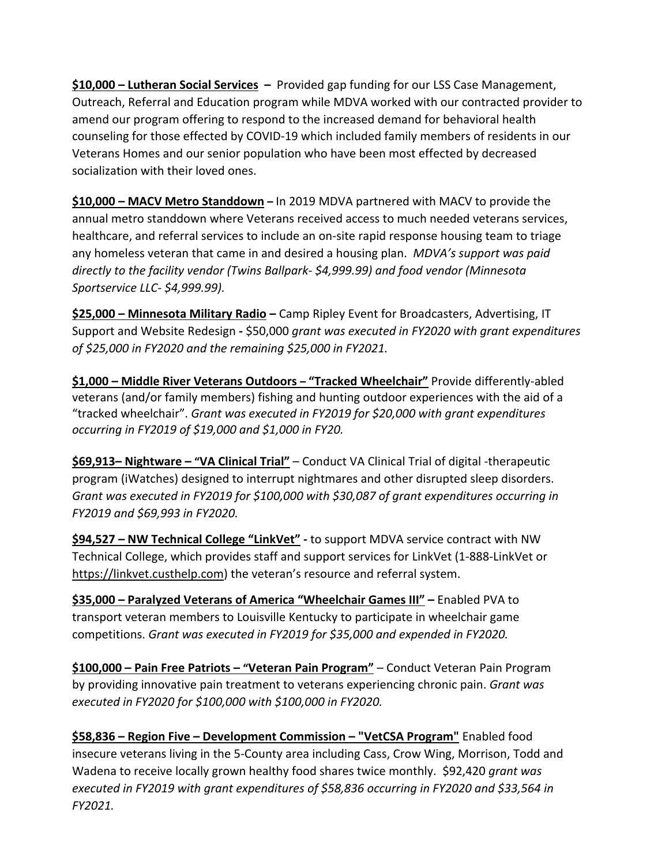**\$10,000 – Lutheran Social Services –** Provided gap funding for our LSS Case Management, Outreach, Referral and Education program while MDVA worked with our contracted provider to amend our program offering to respond to the increased demand for behavioral health counseling for those effected by COVID‐19 which included family members of residents in our Veterans Homes and our senior population who have been most effected by decreased socialization with their loved ones.

**\$10,000 – MACV Metro Standdown –** In 2019 MDVA partnered with MACV to provide the annual metro standdown where Veterans received access to much needed veterans services, healthcare, and referral services to include an on‐site rapid response housing team to triage any homeless veteran that came in and desired a housing plan. *MDVA's support was paid directly to the facility vendor (Twins Ballpark‐ \$4,999.99) and food vendor (Minnesota Sportservice LLC‐ \$4,999.99).* 

**\$25,000 – Minnesota Military Radio –** Camp Ripley Event for Broadcasters, Advertising, IT Support and Website Redesign **‐** \$50,000 *grant was executed in FY2020 with grant expenditures of \$25,000 in FY2020 and the remaining \$25,000 in FY2021.*

**\$1,000 – Middle River Veterans Outdoors – "Tracked Wheelchair"** Provide differently‐abled veterans (and/or family members) fishing and hunting outdoor experiences with the aid of a "tracked wheelchair". *Grant was executed in FY2019 for \$20,000 with grant expenditures occurring in FY2019 of \$19,000 and \$1,000 in FY20.* 

**\$69,913– Nightware – "VA Clinical Trial"** – Conduct VA Clinical Trial of digital ‐therapeutic program (iWatches) designed to interrupt nightmares and other disrupted sleep disorders. *Grant was executed in FY2019 for \$100,000 with \$30,087 of grant expenditures occurring in FY2019 and \$69,993 in FY2020.*

**\$94,527 – NW Technical College "LinkVet" ‐** to support MDVA service contract with NW Technical College, which provides staff and support services for LinkVet (1‐888‐LinkVet or https://linkvet.custhelp.com) the veteran's resource and referral system.

**\$35,000 – Paralyzed Veterans of America "Wheelchair Games III" –** Enabled PVA to transport veteran members to Louisville Kentucky to participate in wheelchair game competitions. *Grant was executed in FY2019 for \$35,000 and expended in FY2020.*

**\$100,000 – Pain Free Patriots – "Veteran Pain Program"** – Conduct Veteran Pain Program by providing innovative pain treatment to veterans experiencing chronic pain. *Grant was executed in FY2020 for \$100,000 with \$100,000 in FY2020.*

**\$58,836 – Region Five – Development Commission – "VetCSA Program"** Enabled food insecure veterans living in the 5‐County area including Cass, Crow Wing, Morrison, Todd and Wadena to receive locally grown healthy food shares twice monthly. \$92,420 *grant was executed in FY2019 with grant expenditures of \$58,836 occurring in FY2020 and \$33,564 in FY2021.*